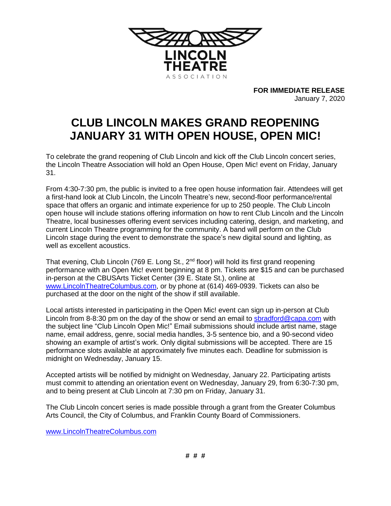

**FOR IMMEDIATE RELEASE** January 7, 2020

## **CLUB LINCOLN MAKES GRAND REOPENING JANUARY 31 WITH OPEN HOUSE, OPEN MIC!**

To celebrate the grand reopening of Club Lincoln and kick off the Club Lincoln concert series, the Lincoln Theatre Association will hold an Open House, Open Mic! event on Friday, January 31.

From 4:30-7:30 pm, the public is invited to a free open house information fair. Attendees will get a first-hand look at Club Lincoln, the Lincoln Theatre's new, second-floor performance/rental space that offers an organic and intimate experience for up to 250 people. The Club Lincoln open house will include stations offering information on how to rent Club Lincoln and the Lincoln Theatre, local businesses offering event services including catering, design, and marketing, and current Lincoln Theatre programming for the community. A band will perform on the Club Lincoln stage during the event to demonstrate the space's new digital sound and lighting, as well as excellent acoustics.

That evening, Club Lincoln (769 E. Long St.,  $2^{nd}$  floor) will hold its first grand reopening performance with an Open Mic! event beginning at 8 pm. Tickets are \$15 and can be purchased in-person at the CBUSArts Ticket Center (39 E. State St.), online at [www.LincolnTheatreColumbus.com,](http://www.lincolntheatrecolumbus.com/) or by phone at (614) 469-0939. Tickets can also be purchased at the door on the night of the show if still available.

Local artists interested in participating in the Open Mic! event can sign up in-person at Club Lincoln from 8-8:30 pm on the day of the show or send an email to [sbradford@capa.com](mailto:sbradford@capa.com) with the subject line "Club Lincoln Open Mic!" Email submissions should include artist name, stage name, email address, genre, social media handles, 3-5 sentence bio, and a 90-second video showing an example of artist's work. Only digital submissions will be accepted. There are 15 performance slots available at approximately five minutes each. Deadline for submission is midnight on Wednesday, January 15.

Accepted artists will be notified by midnight on Wednesday, January 22. Participating artists must commit to attending an orientation event on Wednesday, January 29, from 6:30-7:30 pm, and to being present at Club Lincoln at 7:30 pm on Friday, January 31.

The Club Lincoln concert series is made possible through a grant from the Greater Columbus Arts Council, the City of Columbus, and Franklin County Board of Commissioners.

[www.LincolnTheatreColumbus.com](http://www.lincolntheatrecolumbus.com/)

**# # #**